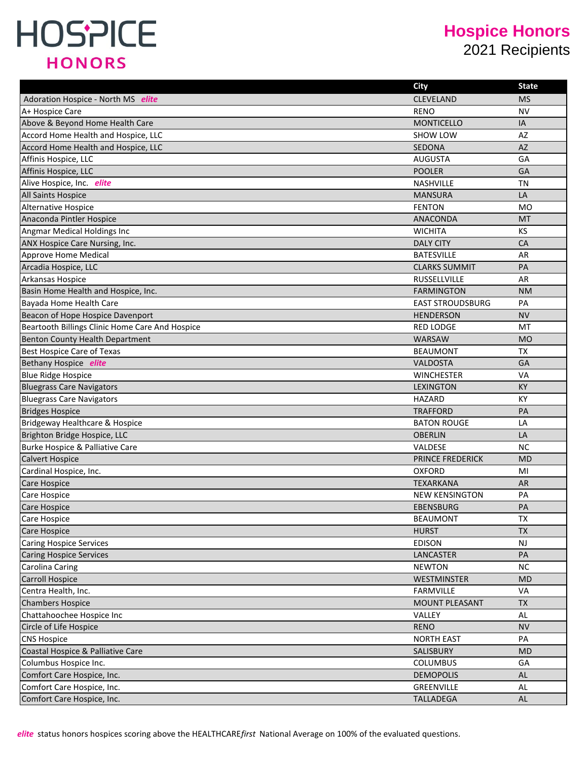#### **Hospice Honors**

2021 Recipients

|                                                 | <b>City</b>             | <b>State</b> |
|-------------------------------------------------|-------------------------|--------------|
| Adoration Hospice - North MS elite              | <b>CLEVELAND</b>        | <b>MS</b>    |
| A+ Hospice Care                                 | <b>RENO</b>             | <b>NV</b>    |
| Above & Beyond Home Health Care                 | <b>MONTICELLO</b>       | IA           |
| Accord Home Health and Hospice, LLC             | SHOW LOW                | AZ           |
| Accord Home Health and Hospice, LLC             | SEDONA                  | AZ           |
| Affinis Hospice, LLC                            | <b>AUGUSTA</b>          | GA           |
| Affinis Hospice, LLC                            | <b>POOLER</b>           | GA           |
| Alive Hospice, Inc. elite                       | NASHVILLE               | TN           |
| <b>All Saints Hospice</b>                       | <b>MANSURA</b>          | LA           |
| <b>Alternative Hospice</b>                      | <b>FENTON</b>           | MO           |
| Anaconda Pintler Hospice                        | ANACONDA                | MT           |
| Angmar Medical Holdings Inc                     | <b>WICHITA</b>          | KS           |
| ANX Hospice Care Nursing, Inc.                  | <b>DALY CITY</b>        | CA           |
| Approve Home Medical                            | <b>BATESVILLE</b>       | AR           |
| Arcadia Hospice, LLC                            | <b>CLARKS SUMMIT</b>    | PA           |
| Arkansas Hospice                                | RUSSELLVILLE            | <b>AR</b>    |
| Basin Home Health and Hospice, Inc.             | <b>FARMINGTON</b>       | <b>NM</b>    |
| Bayada Home Health Care                         | <b>EAST STROUDSBURG</b> | PA           |
| Beacon of Hope Hospice Davenport                | <b>HENDERSON</b>        | <b>NV</b>    |
| Beartooth Billings Clinic Home Care And Hospice | <b>RED LODGE</b>        | MT           |
| Benton County Health Department                 | <b>WARSAW</b>           | <b>MO</b>    |
| <b>Best Hospice Care of Texas</b>               | <b>BEAUMONT</b>         | <b>TX</b>    |
| Bethany Hospice elite                           | VALDOSTA                | GA           |
| <b>Blue Ridge Hospice</b>                       | <b>WINCHESTER</b>       | VA           |
| <b>Bluegrass Care Navigators</b>                | <b>LEXINGTON</b>        | <b>KY</b>    |
| <b>Bluegrass Care Navigators</b>                | <b>HAZARD</b>           | <b>KY</b>    |
| <b>Bridges Hospice</b>                          | <b>TRAFFORD</b>         | PA           |
| Bridgeway Healthcare & Hospice                  | <b>BATON ROUGE</b>      | LA           |
| Brighton Bridge Hospice, LLC                    | <b>OBERLIN</b>          | LA           |
| <b>Burke Hospice &amp; Palliative Care</b>      | VALDESE                 | <b>NC</b>    |
| <b>Calvert Hospice</b>                          | <b>PRINCE FREDERICK</b> | <b>MD</b>    |
| Cardinal Hospice, Inc.                          | <b>OXFORD</b>           | MI           |
| <b>Care Hospice</b>                             | <b>TEXARKANA</b>        | AR           |
| Care Hospice                                    | <b>NEW KENSINGTON</b>   | PA           |
| <b>Care Hospice</b>                             | <b>EBENSBURG</b>        | PA           |
| <b>Care Hospice</b>                             | <b>BEAUMONT</b>         | TX           |
| Care Hospice                                    | <b>HURST</b>            | <b>TX</b>    |
| <b>Caring Hospice Services</b>                  | <b>EDISON</b>           | <b>NJ</b>    |
| <b>Caring Hospice Services</b>                  | LANCASTER               | PA           |
| <b>Carolina Caring</b>                          | <b>NEWTON</b>           | NC           |
| <b>Carroll Hospice</b>                          | WESTMINSTER             | <b>MD</b>    |
| Centra Health, Inc.                             | <b>FARMVILLE</b>        | VA           |
| <b>Chambers Hospice</b>                         | <b>MOUNT PLEASANT</b>   | TX.          |
| Chattahoochee Hospice Inc                       | VALLEY                  | AL           |
| Circle of Life Hospice                          | <b>RENO</b>             | <b>NV</b>    |
| <b>CNS Hospice</b>                              | <b>NORTH EAST</b>       | PA           |
| Coastal Hospice & Palliative Care               | SALISBURY               | <b>MD</b>    |
| Columbus Hospice Inc.                           | <b>COLUMBUS</b>         | GA           |
| Comfort Care Hospice, Inc.                      | <b>DEMOPOLIS</b>        | AL           |
| Comfort Care Hospice, Inc.                      | GREENVILLE              | AL           |
| Comfort Care Hospice, Inc.                      | <b>TALLADEGA</b>        | AL           |

*elite* status honors hospices scoring above the HEALTHCARE*first* National Average on 100% of the evaluated questions.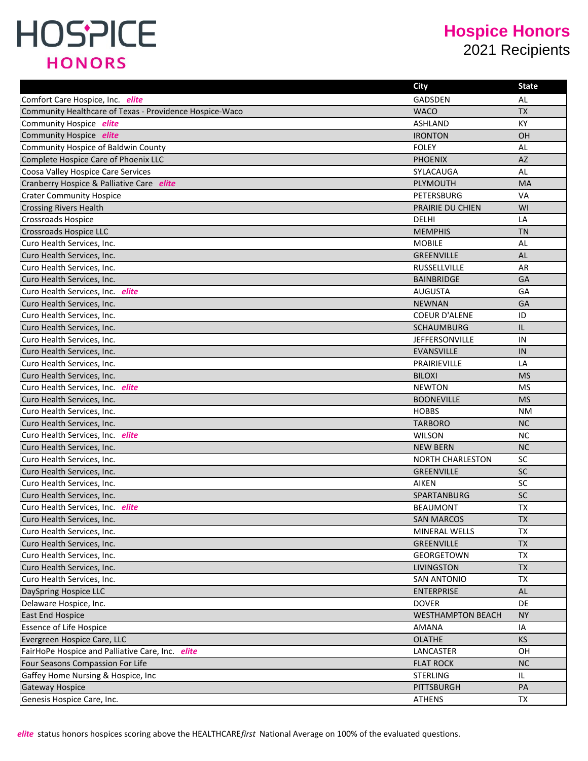#### **Hospice Honors**

2021 Recipients

|                                                         | <b>City</b>              | <b>State</b> |
|---------------------------------------------------------|--------------------------|--------------|
| Comfort Care Hospice, Inc. elite                        | <b>GADSDEN</b>           | AL           |
| Community Healthcare of Texas - Providence Hospice-Waco | <b>WACO</b>              | <b>TX</b>    |
| Community Hospice elite                                 | <b>ASHLAND</b>           | <b>KY</b>    |
| Community Hospice elite                                 | <b>IRONTON</b>           | OH           |
| Community Hospice of Baldwin County                     | <b>FOLEY</b>             | AL           |
| Complete Hospice Care of Phoenix LLC                    | <b>PHOENIX</b>           | AZ           |
| Coosa Valley Hospice Care Services                      | SYLACAUGA                | AL           |
| Cranberry Hospice & Palliative Care elite               | <b>PLYMOUTH</b>          | <b>MA</b>    |
| <b>Crater Community Hospice</b>                         | PETERSBURG               | <b>VA</b>    |
| <b>Crossing Rivers Health</b>                           | <b>PRAIRIE DU CHIEN</b>  | WI           |
| <b>Crossroads Hospice</b>                               | DELHI                    | LA           |
| Crossroads Hospice LLC                                  | <b>MEMPHIS</b>           | <b>TN</b>    |
| Curo Health Services, Inc.                              | <b>MOBILE</b>            | AL           |
| Curo Health Services, Inc.                              | <b>GREENVILLE</b>        | AL           |
| Curo Health Services, Inc.                              | <b>RUSSELLVILLE</b>      | AR           |
| Curo Health Services, Inc.                              | <b>BAINBRIDGE</b>        | GA           |
| Curo Health Services, Inc. elite                        | <b>AUGUSTA</b>           | GA           |
| Curo Health Services, Inc.                              | <b>NEWNAN</b>            | GA           |
| Curo Health Services, Inc.                              | <b>COEUR D'ALENE</b>     | ID           |
| Curo Health Services, Inc.                              | <b>SCHAUMBURG</b>        | IL           |
| Curo Health Services, Inc.                              | <b>JEFFERSONVILLE</b>    | IN           |
| Curo Health Services, Inc.                              | <b>EVANSVILLE</b>        | IN           |
| Curo Health Services, Inc.                              | PRAIRIEVILLE             | LA           |
| Curo Health Services, Inc.                              | <b>BILOXI</b>            | <b>MS</b>    |
| Curo Health Services, Inc. elite                        | <b>NEWTON</b>            | MS           |
| Curo Health Services, Inc.                              | <b>BOONEVILLE</b>        | <b>MS</b>    |
| Curo Health Services, Inc.                              | <b>HOBBS</b>             | NM.          |
| Curo Health Services, Inc.                              | <b>TARBORO</b>           | <b>NC</b>    |
| Curo Health Services, Inc. elite                        | <b>WILSON</b>            | <b>NC</b>    |
| Curo Health Services, Inc.                              | <b>NEW BERN</b>          | <b>NC</b>    |
| Curo Health Services, Inc.                              | NORTH CHARLESTON         | SC           |
| Curo Health Services, Inc.                              | <b>GREENVILLE</b>        | SC           |
| Curo Health Services, Inc.                              | <b>AIKEN</b>             | SC           |
| Curo Health Services, Inc.                              | SPARTANBURG              | <b>SC</b>    |
| Curo Health Services. Inc. elite                        | <b>BEAUMONT</b>          | <b>TX</b>    |
| Curo Health Services, Inc.                              | <b>SAN MARCOS</b>        | <b>TX</b>    |
| Curo Health Services, Inc.                              | MINERAL WELLS            | TX           |
| Curo Health Services, Inc.                              | <b>GREENVILLE</b>        | TX           |
| Curo Health Services, Inc.                              | GEORGETOWN               | TX           |
| Curo Health Services, Inc.                              | <b>LIVINGSTON</b>        | <b>TX</b>    |
| Curo Health Services, Inc.                              | <b>SAN ANTONIO</b>       | <b>TX</b>    |
| DaySpring Hospice LLC                                   | <b>ENTERPRISE</b>        | <b>AL</b>    |
| Delaware Hospice, Inc.                                  | <b>DOVER</b>             | DE           |
| <b>East End Hospice</b>                                 | <b>WESTHAMPTON BEACH</b> | NY.          |
| <b>Essence of Life Hospice</b>                          | AMANA                    | IA           |
| Evergreen Hospice Care, LLC                             | <b>OLATHE</b>            | <b>KS</b>    |
| FairHoPe Hospice and Palliative Care, Inc. elite        | LANCASTER                | OH           |
| Four Seasons Compassion For Life                        | <b>FLAT ROCK</b>         | NC           |
| Gaffey Home Nursing & Hospice, Inc.                     | <b>STERLING</b>          | IL.          |
| Gateway Hospice                                         | PITTSBURGH               | PA           |
| Genesis Hospice Care, Inc.                              | ATHENS                   | TX           |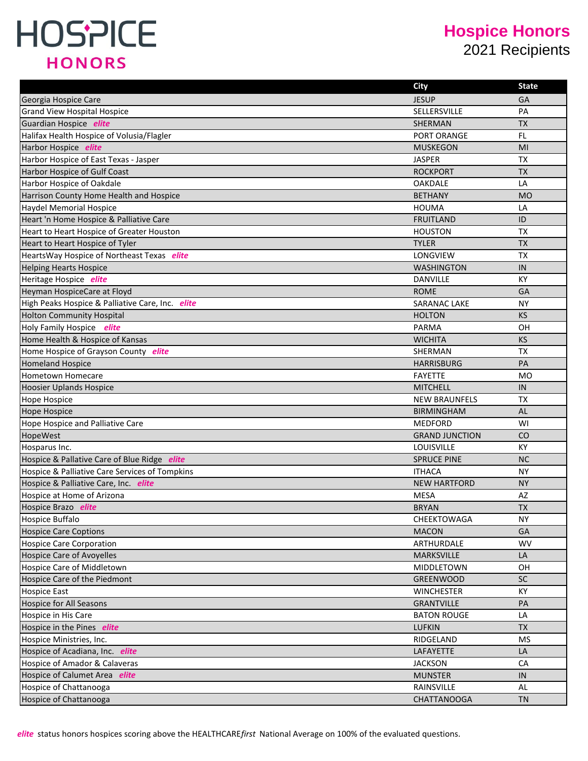#### **Hospice Honors** 2021 Recipients

|                                                  | <b>City</b>           | <b>State</b> |
|--------------------------------------------------|-----------------------|--------------|
| Georgia Hospice Care                             | <b>JESUP</b>          | GA           |
| <b>Grand View Hospital Hospice</b>               | SELLERSVILLE          | PA           |
| Guardian Hospice elite                           | SHERMAN               | <b>TX</b>    |
| Halifax Health Hospice of Volusia/Flagler        | PORT ORANGE           | FL           |
| Harbor Hospice elite                             | <b>MUSKEGON</b>       | MI           |
| Harbor Hospice of East Texas - Jasper            | <b>JASPER</b>         | <b>TX</b>    |
| Harbor Hospice of Gulf Coast                     | <b>ROCKPORT</b>       | <b>TX</b>    |
| Harbor Hospice of Oakdale                        | <b>OAKDALE</b>        | LA           |
| Harrison County Home Health and Hospice          | <b>BETHANY</b>        | <b>MO</b>    |
| <b>Haydel Memorial Hospice</b>                   | <b>HOUMA</b>          | LA           |
| Heart 'n Home Hospice & Palliative Care          | <b>FRUITLAND</b>      | ID           |
| Heart to Heart Hospice of Greater Houston        | <b>HOUSTON</b>        | <b>TX</b>    |
| Heart to Heart Hospice of Tyler                  | <b>TYLER</b>          | <b>TX</b>    |
| HeartsWay Hospice of Northeast Texas elite       | <b>LONGVIEW</b>       | <b>TX</b>    |
| <b>Helping Hearts Hospice</b>                    | <b>WASHINGTON</b>     | IN           |
| Heritage Hospice elite                           | <b>DANVILLE</b>       | KY           |
| Heyman HospiceCare at Floyd                      | <b>ROME</b>           | GA           |
| High Peaks Hospice & Palliative Care, Inc. elite | <b>SARANAC LAKE</b>   | <b>NY</b>    |
| <b>Holton Community Hospital</b>                 | <b>HOLTON</b>         | <b>KS</b>    |
| Holy Family Hospice elite                        | <b>PARMA</b>          | 0H           |
| Home Health & Hospice of Kansas                  | <b>WICHITA</b>        | <b>KS</b>    |
| Home Hospice of Grayson County elite             | <b>SHERMAN</b>        | <b>TX</b>    |
| <b>Homeland Hospice</b>                          | <b>HARRISBURG</b>     | PA           |
| Hometown Homecare                                | <b>FAYETTE</b>        | <b>MO</b>    |
| <b>Hoosier Uplands Hospice</b>                   | <b>MITCHELL</b>       | IN           |
| <b>Hope Hospice</b>                              | <b>NEW BRAUNFELS</b>  | <b>TX</b>    |
| <b>Hope Hospice</b>                              | <b>BIRMINGHAM</b>     | AL           |
| Hope Hospice and Palliative Care                 | <b>MEDFORD</b>        | WI           |
| HopeWest                                         | <b>GRAND JUNCTION</b> | CO           |
| Hosparus Inc.                                    | LOUISVILLE            | <b>KY</b>    |
| Hospice & Pallative Care of Blue Ridge elite     | <b>SPRUCE PINE</b>    | <b>NC</b>    |
| Hospice & Palliative Care Services of Tompkins   | <b>ITHACA</b>         | <b>NY</b>    |
| Hospice & Palliative Care, Inc. elite            | <b>NEW HARTFORD</b>   | <b>NY</b>    |
| Hospice at Home of Arizona                       | <b>MESA</b>           | AZ           |
| Hospice Brazo elite                              | <b>BRYAN</b>          | <b>TX</b>    |
| Hospice Buffalo                                  | CHEEKTOWAGA           | <b>NY</b>    |
| <b>Hospice Care Coptions</b>                     | <b>MACON</b>          | GA           |
| <b>Hospice Care Corporation</b>                  | ARTHURDALE            | <b>WV</b>    |
| <b>Hospice Care of Avoyelles</b>                 | MARKSVILLE            | LA           |
| <b>Hospice Care of Middletown</b>                | MIDDLETOWN            | OH           |
| Hospice Care of the Piedmont                     | GREENWOOD             | <b>SC</b>    |
| <b>Hospice East</b>                              | <b>WINCHESTER</b>     | KY           |
| <b>Hospice for All Seasons</b>                   | <b>GRANTVILLE</b>     | PA           |
| Hospice in His Care                              | <b>BATON ROUGE</b>    | LA           |
| Hospice in the Pines elite                       | <b>LUFKIN</b>         | <b>TX</b>    |
| Hospice Ministries, Inc.                         | RIDGELAND             | <b>MS</b>    |
| Hospice of Acadiana, Inc. elite                  | LAFAYETTE             | LA           |
| Hospice of Amador & Calaveras                    | <b>JACKSON</b>        | CA           |
| Hospice of Calumet Area elite                    | <b>MUNSTER</b>        | IN           |
| Hospice of Chattanooga                           | RAINSVILLE            | AL           |
| Hospice of Chattanooga                           | <b>CHATTANOOGA</b>    | <b>TN</b>    |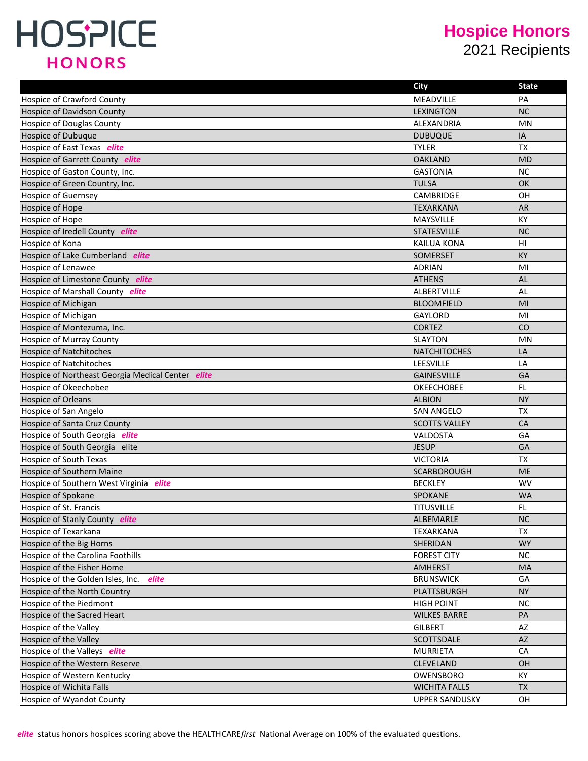#### **Hospice Honors** 2021 Recipients

|                                                   | <b>City</b>           | State     |
|---------------------------------------------------|-----------------------|-----------|
| <b>Hospice of Crawford County</b>                 | MEADVILLE             | PA        |
| <b>Hospice of Davidson County</b>                 | <b>LEXINGTON</b>      | <b>NC</b> |
| Hospice of Douglas County                         | ALEXANDRIA            | MN        |
| <b>Hospice of Dubuque</b>                         | <b>DUBUQUE</b>        | IA        |
| Hospice of East Texas elite                       | <b>TYLER</b>          | <b>TX</b> |
| Hospice of Garrett County elite                   | <b>OAKLAND</b>        | <b>MD</b> |
| Hospice of Gaston County, Inc.                    | <b>GASTONIA</b>       | ΝC        |
| Hospice of Green Country, Inc.                    | <b>TULSA</b>          | <b>OK</b> |
| <b>Hospice of Guernsey</b>                        | <b>CAMBRIDGE</b>      | OН        |
| Hospice of Hope                                   | <b>TEXARKANA</b>      | AR.       |
| Hospice of Hope                                   | <b>MAYSVILLE</b>      | KY        |
| Hospice of Iredell County elite                   | <b>STATESVILLE</b>    | <b>NC</b> |
| Hospice of Kona                                   | <b>KAILUA KONA</b>    | нı        |
| Hospice of Lake Cumberland elite                  | SOMERSET              | KY        |
| <b>Hospice of Lenawee</b>                         | <b>ADRIAN</b>         | MI        |
| Hospice of Limestone County elite                 | <b>ATHENS</b>         | AL        |
| Hospice of Marshall County elite                  | <b>ALBERTVILLE</b>    | AL        |
| Hospice of Michigan                               | <b>BLOOMFIELD</b>     | MI        |
| Hospice of Michigan                               | GAYLORD               | MI        |
| Hospice of Montezuma, Inc.                        | <b>CORTEZ</b>         | CO        |
| Hospice of Murray County                          | <b>SLAYTON</b>        | MN        |
| <b>Hospice of Natchitoches</b>                    | <b>NATCHITOCHES</b>   | LA        |
| <b>Hospice of Natchitoches</b>                    | LEESVILLE             | LA        |
| Hospice of Northeast Georgia Medical Center elite | <b>GAINESVILLE</b>    | GA        |
| Hospice of Okeechobee                             | <b>OKEECHOBEE</b>     | FL.       |
| <b>Hospice of Orleans</b>                         | <b>ALBION</b>         | <b>NY</b> |
| Hospice of San Angelo                             | <b>SAN ANGELO</b>     | <b>TX</b> |
| Hospice of Santa Cruz County                      | <b>SCOTTS VALLEY</b>  | <b>CA</b> |
| Hospice of South Georgia elite                    | VALDOSTA              | GA        |
| Hospice of South Georgia elite                    | <b>JESUP</b>          | GA        |
| Hospice of South Texas                            | <b>VICTORIA</b>       | <b>TX</b> |
| <b>Hospice of Southern Maine</b>                  | SCARBOROUGH           | <b>ME</b> |
| Hospice of Southern West Virginia elite           | <b>BECKLEY</b>        | <b>WV</b> |
| Hospice of Spokane                                | <b>SPOKANE</b>        | <b>WA</b> |
| Hospice of St. Francis                            | <b>TITUSVILLE</b>     | FL.       |
| Hospice of Stanly County elite                    | ALBEMARLE             | <b>NC</b> |
| Hospice of Texarkana                              | TEXARKANA             | <b>TX</b> |
| Hospice of the Big Horns                          | SHERIDAN              | <b>WY</b> |
| Hospice of the Carolina Foothills                 | <b>FOREST CITY</b>    | <b>NC</b> |
| Hospice of the Fisher Home                        | <b>AMHERST</b>        | MA        |
| Hospice of the Golden Isles, Inc.<br>elite        | <b>BRUNSWICK</b>      | GA        |
| Hospice of the North Country                      | PLATTSBURGH           | <b>NY</b> |
| Hospice of the Piedmont                           | <b>HIGH POINT</b>     | <b>NC</b> |
| Hospice of the Sacred Heart                       | <b>WILKES BARRE</b>   | PA        |
| Hospice of the Valley                             | <b>GILBERT</b>        | AZ        |
| Hospice of the Valley                             | SCOTTSDALE            | AZ        |
| Hospice of the Valleys elite                      | <b>MURRIETA</b>       | CA        |
| Hospice of the Western Reserve                    | CLEVELAND             | <b>OH</b> |
| Hospice of Western Kentucky                       | OWENSBORO             | КY        |
| Hospice of Wichita Falls                          | <b>WICHITA FALLS</b>  | <b>TX</b> |
| Hospice of Wyandot County                         | <b>UPPER SANDUSKY</b> | OH        |

*elite* status honors hospices scoring above the HEALTHCARE*first* National Average on 100% of the evaluated questions.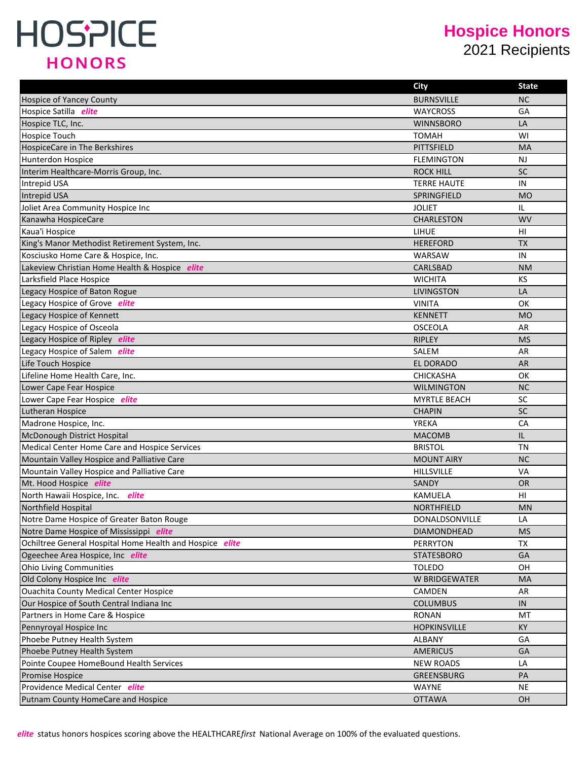#### **Hospice Honors**

2021 Recipients

|                                                          | <b>City</b>         | State     |
|----------------------------------------------------------|---------------------|-----------|
| <b>Hospice of Yancey County</b>                          | <b>BURNSVILLE</b>   | <b>NC</b> |
| Hospice Satilla elite                                    | <b>WAYCROSS</b>     | GA        |
| Hospice TLC, Inc.                                        | <b>WINNSBORO</b>    | LA        |
| <b>Hospice Touch</b>                                     | <b>TOMAH</b>        | WI        |
| <b>HospiceCare in The Berkshires</b>                     | <b>PITTSFIELD</b>   | <b>MA</b> |
| Hunterdon Hospice                                        | <b>FLEMINGTON</b>   | <b>NJ</b> |
| Interim Healthcare-Morris Group, Inc.                    | <b>ROCK HILL</b>    | <b>SC</b> |
| <b>Intrepid USA</b>                                      | <b>TERRE HAUTE</b>  | IN        |
| Intrepid USA                                             | SPRINGFIELD         | <b>MO</b> |
| Joliet Area Community Hospice Inc                        | <b>JOLIET</b>       | IL        |
| Kanawha HospiceCare                                      | <b>CHARLESTON</b>   | <b>WV</b> |
| Kaua'i Hospice                                           | <b>LIHUE</b>        | HI        |
| King's Manor Methodist Retirement System, Inc.           | <b>HEREFORD</b>     | <b>TX</b> |
| Kosciusko Home Care & Hospice, Inc.                      | WARSAW              | IN        |
| Lakeview Christian Home Health & Hospice elite           | CARLSBAD            | <b>NM</b> |
| Larksfield Place Hospice                                 | <b>WICHITA</b>      | KS        |
| Legacy Hospice of Baton Rogue                            | <b>LIVINGSTON</b>   | LA        |
| Legacy Hospice of Grove elite                            | <b>VINITA</b>       | <b>OK</b> |
| Legacy Hospice of Kennett                                | <b>KENNETT</b>      | <b>MO</b> |
| Legacy Hospice of Osceola                                | <b>OSCEOLA</b>      | AR        |
| Legacy Hospice of Ripley elite                           | <b>RIPLEY</b>       | <b>MS</b> |
| Legacy Hospice of Salem elite                            | SALEM               | AR        |
| Life Touch Hospice                                       | EL DORADO           | AR        |
| Lifeline Home Health Care, Inc.                          | <b>CHICKASHA</b>    | OK        |
| Lower Cape Fear Hospice                                  | <b>WILMINGTON</b>   | <b>NC</b> |
| Lower Cape Fear Hospice elite                            | <b>MYRTLE BEACH</b> | SC        |
| Lutheran Hospice                                         | <b>CHAPIN</b>       | SC        |
| Madrone Hospice, Inc.                                    | <b>YREKA</b>        | CA        |
| McDonough District Hospital                              | <b>MACOMB</b>       | IL        |
| Medical Center Home Care and Hospice Services            | <b>BRISTOL</b>      | TN        |
| Mountain Valley Hospice and Palliative Care              | <b>MOUNT AIRY</b>   | <b>NC</b> |
| Mountain Valley Hospice and Palliative Care              | <b>HILLSVILLE</b>   | VA        |
| Mt. Hood Hospice elite                                   | SANDY               | <b>OR</b> |
| North Hawaii Hospice, Inc.<br>elite                      | <b>KAMUELA</b>      | HI        |
| Northfield Hospital                                      | <b>NORTHFIELD</b>   | <b>MN</b> |
| Notre Dame Hospice of Greater Baton Rouge                | DONALDSONVILLE      | LA        |
| Notre Dame Hospice of Mississippi elite                  | <b>DIAMONDHEAD</b>  | <b>MS</b> |
| Ochiltree General Hospital Home Health and Hospice elite | <b>PERRYTON</b>     | TX        |
| Ogeechee Area Hospice, Inc elite                         | <b>STATESBORO</b>   | GA        |
| <b>Ohio Living Communities</b>                           | <b>TOLEDO</b>       | OH        |
| Old Colony Hospice Inc elite                             | W BRIDGEWATER       | MA        |
| <b>Ouachita County Medical Center Hospice</b>            | CAMDEN              | AR        |
| Our Hospice of South Central Indiana Inc                 | <b>COLUMBUS</b>     | IN        |
| Partners in Home Care & Hospice                          | <b>RONAN</b>        | MT        |
| Pennyroyal Hospice Inc                                   | <b>HOPKINSVILLE</b> | KY        |
| Phoebe Putney Health System                              | ALBANY              | GA        |
| Phoebe Putney Health System                              | <b>AMERICUS</b>     | GA        |
| Pointe Coupee HomeBound Health Services                  | <b>NEW ROADS</b>    | LA        |
| Promise Hospice                                          | <b>GREENSBURG</b>   | PA        |
| Providence Medical Center elite                          | <b>WAYNE</b>        | <b>NE</b> |
| Putnam County HomeCare and Hospice                       | <b>OTTAWA</b>       | OH        |
|                                                          |                     |           |

*elite* status honors hospices scoring above the HEALTHCARE*first* National Average on 100% of the evaluated questions.